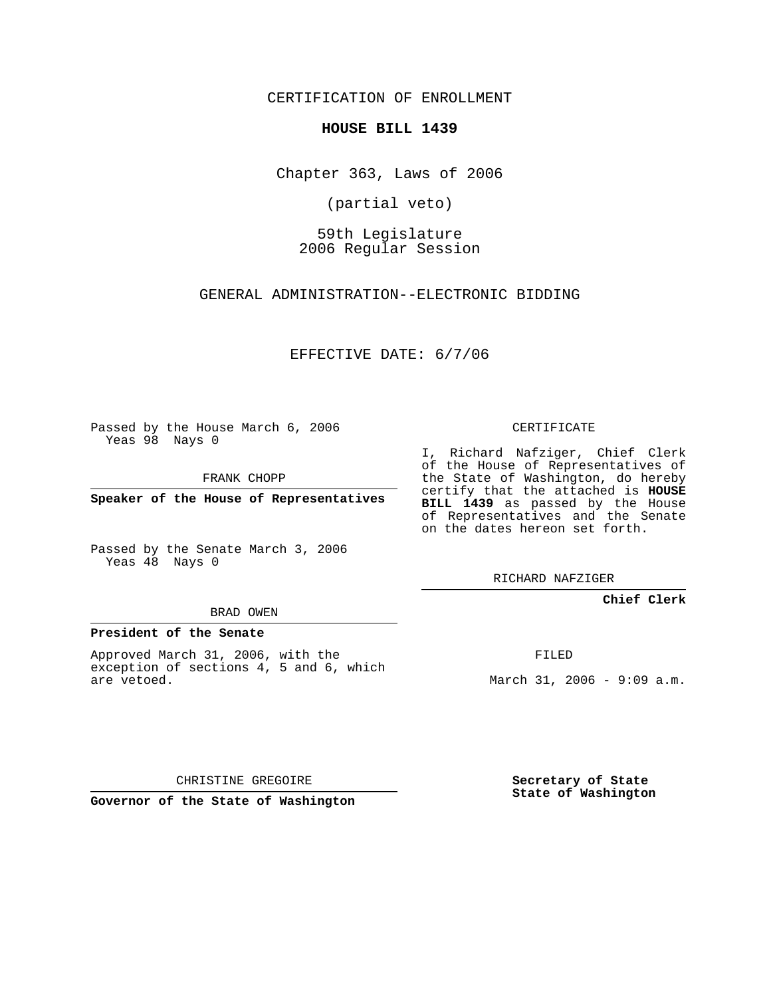CERTIFICATION OF ENROLLMENT

#### **HOUSE BILL 1439**

Chapter 363, Laws of 2006

(partial veto)

59th Legislature 2006 Regular Session

GENERAL ADMINISTRATION--ELECTRONIC BIDDING

EFFECTIVE DATE: 6/7/06

Passed by the House March 6, 2006 Yeas 98 Nays 0

FRANK CHOPP

**Speaker of the House of Representatives**

Passed by the Senate March 3, 2006 Yeas 48 Nays 0

#### BRAD OWEN

#### **President of the Senate**

Approved March 31, 2006, with the exception of sections 4, 5 and 6, which are vetoed.

#### CERTIFICATE

I, Richard Nafziger, Chief Clerk of the House of Representatives of the State of Washington, do hereby certify that the attached is **HOUSE BILL 1439** as passed by the House of Representatives and the Senate on the dates hereon set forth.

RICHARD NAFZIGER

#### **Chief Clerk**

FILED

March 31, 2006 - 9:09 a.m.

CHRISTINE GREGOIRE

**Governor of the State of Washington**

**Secretary of State State of Washington**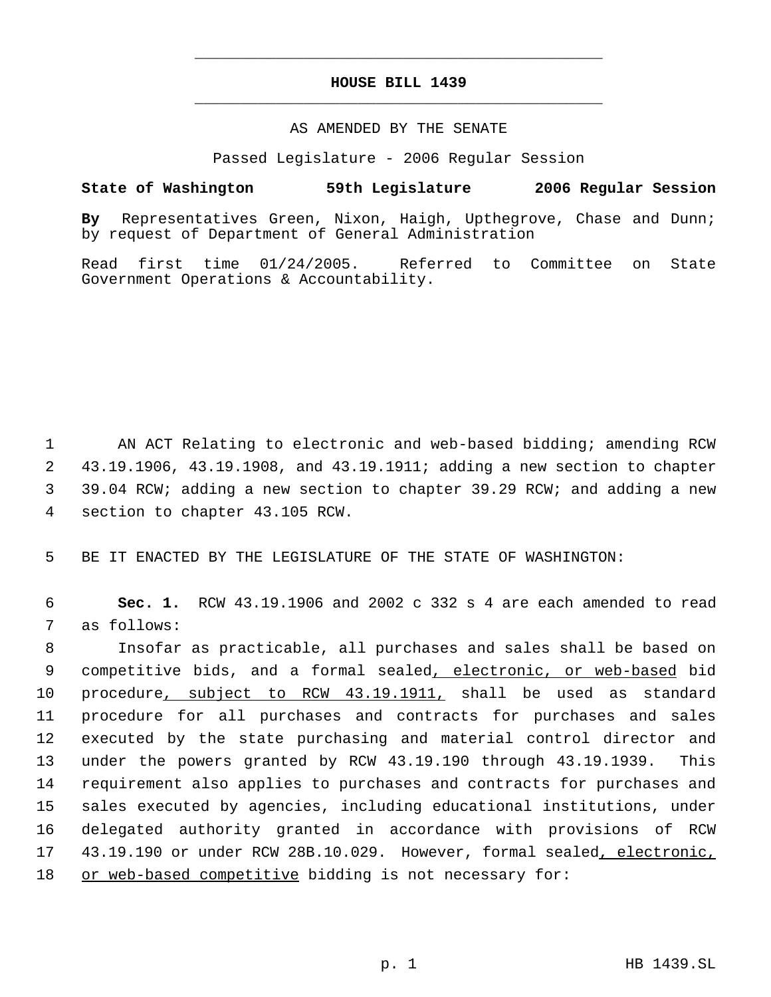# **HOUSE BILL 1439** \_\_\_\_\_\_\_\_\_\_\_\_\_\_\_\_\_\_\_\_\_\_\_\_\_\_\_\_\_\_\_\_\_\_\_\_\_\_\_\_\_\_\_\_\_

\_\_\_\_\_\_\_\_\_\_\_\_\_\_\_\_\_\_\_\_\_\_\_\_\_\_\_\_\_\_\_\_\_\_\_\_\_\_\_\_\_\_\_\_\_

### AS AMENDED BY THE SENATE

Passed Legislature - 2006 Regular Session

## **State of Washington 59th Legislature 2006 Regular Session**

**By** Representatives Green, Nixon, Haigh, Upthegrove, Chase and Dunn; by request of Department of General Administration

Read first time 01/24/2005. Referred to Committee on State Government Operations & Accountability.

 AN ACT Relating to electronic and web-based bidding; amending RCW 43.19.1906, 43.19.1908, and 43.19.1911; adding a new section to chapter 39.04 RCW; adding a new section to chapter 39.29 RCW; and adding a new section to chapter 43.105 RCW.

5 BE IT ENACTED BY THE LEGISLATURE OF THE STATE OF WASHINGTON:

 6 **Sec. 1.** RCW 43.19.1906 and 2002 c 332 s 4 are each amended to read 7 as follows:

 Insofar as practicable, all purchases and sales shall be based on 9 competitive bids, and a formal sealed, electronic, or web-based bid procedure, subject to RCW 43.19.1911, shall be used as standard procedure for all purchases and contracts for purchases and sales executed by the state purchasing and material control director and under the powers granted by RCW 43.19.190 through 43.19.1939. This requirement also applies to purchases and contracts for purchases and sales executed by agencies, including educational institutions, under delegated authority granted in accordance with provisions of RCW 43.19.190 or under RCW 28B.10.029. However, formal sealed, electronic, 18 or web-based competitive bidding is not necessary for: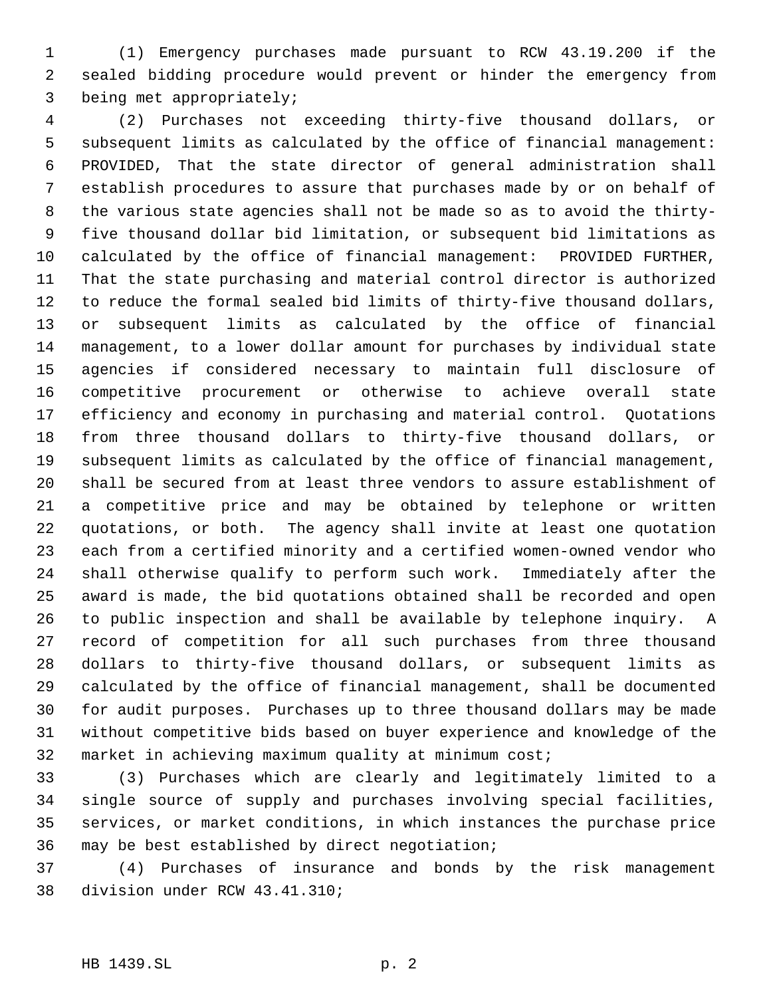(1) Emergency purchases made pursuant to RCW 43.19.200 if the sealed bidding procedure would prevent or hinder the emergency from being met appropriately;

 (2) Purchases not exceeding thirty-five thousand dollars, or subsequent limits as calculated by the office of financial management: PROVIDED, That the state director of general administration shall establish procedures to assure that purchases made by or on behalf of the various state agencies shall not be made so as to avoid the thirty- five thousand dollar bid limitation, or subsequent bid limitations as calculated by the office of financial management: PROVIDED FURTHER, That the state purchasing and material control director is authorized to reduce the formal sealed bid limits of thirty-five thousand dollars, or subsequent limits as calculated by the office of financial management, to a lower dollar amount for purchases by individual state agencies if considered necessary to maintain full disclosure of competitive procurement or otherwise to achieve overall state efficiency and economy in purchasing and material control. Quotations from three thousand dollars to thirty-five thousand dollars, or subsequent limits as calculated by the office of financial management, shall be secured from at least three vendors to assure establishment of a competitive price and may be obtained by telephone or written quotations, or both. The agency shall invite at least one quotation each from a certified minority and a certified women-owned vendor who shall otherwise qualify to perform such work. Immediately after the award is made, the bid quotations obtained shall be recorded and open to public inspection and shall be available by telephone inquiry. A record of competition for all such purchases from three thousand dollars to thirty-five thousand dollars, or subsequent limits as calculated by the office of financial management, shall be documented for audit purposes. Purchases up to three thousand dollars may be made without competitive bids based on buyer experience and knowledge of the market in achieving maximum quality at minimum cost;

 (3) Purchases which are clearly and legitimately limited to a single source of supply and purchases involving special facilities, services, or market conditions, in which instances the purchase price may be best established by direct negotiation;

 (4) Purchases of insurance and bonds by the risk management division under RCW 43.41.310;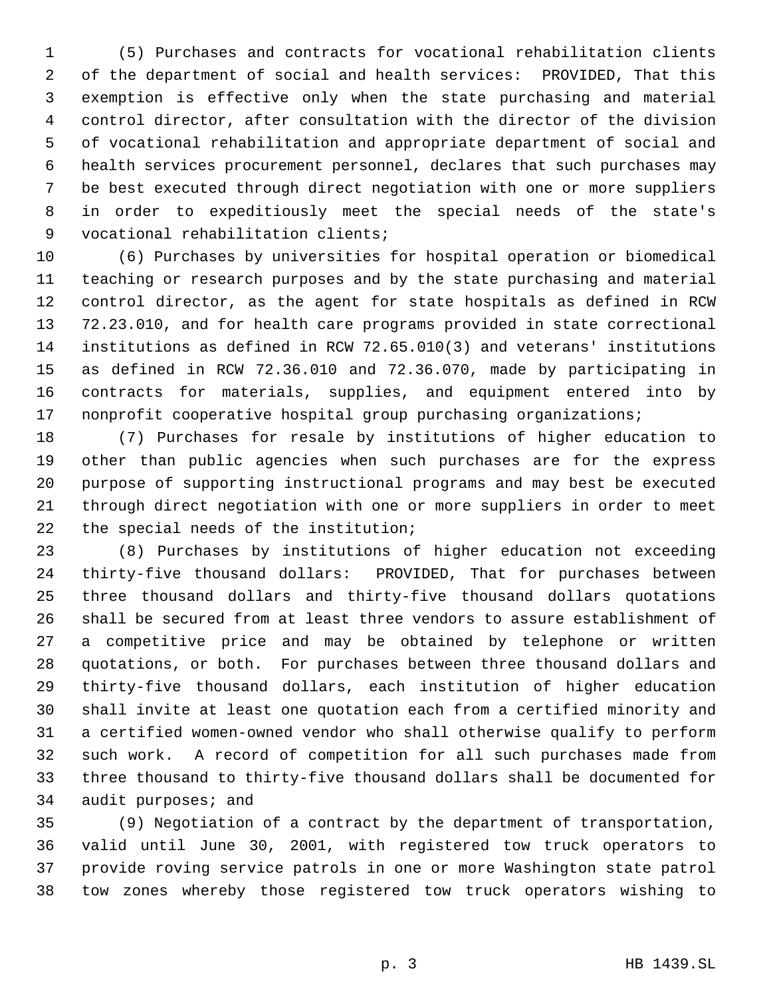(5) Purchases and contracts for vocational rehabilitation clients of the department of social and health services: PROVIDED, That this exemption is effective only when the state purchasing and material control director, after consultation with the director of the division of vocational rehabilitation and appropriate department of social and health services procurement personnel, declares that such purchases may be best executed through direct negotiation with one or more suppliers in order to expeditiously meet the special needs of the state's vocational rehabilitation clients;

 (6) Purchases by universities for hospital operation or biomedical teaching or research purposes and by the state purchasing and material control director, as the agent for state hospitals as defined in RCW 72.23.010, and for health care programs provided in state correctional institutions as defined in RCW 72.65.010(3) and veterans' institutions as defined in RCW 72.36.010 and 72.36.070, made by participating in contracts for materials, supplies, and equipment entered into by 17 nonprofit cooperative hospital group purchasing organizations;

 (7) Purchases for resale by institutions of higher education to other than public agencies when such purchases are for the express purpose of supporting instructional programs and may best be executed through direct negotiation with one or more suppliers in order to meet the special needs of the institution;

 (8) Purchases by institutions of higher education not exceeding thirty-five thousand dollars: PROVIDED, That for purchases between three thousand dollars and thirty-five thousand dollars quotations shall be secured from at least three vendors to assure establishment of a competitive price and may be obtained by telephone or written quotations, or both. For purchases between three thousand dollars and thirty-five thousand dollars, each institution of higher education shall invite at least one quotation each from a certified minority and a certified women-owned vendor who shall otherwise qualify to perform such work. A record of competition for all such purchases made from three thousand to thirty-five thousand dollars shall be documented for 34 audit purposes; and

 (9) Negotiation of a contract by the department of transportation, valid until June 30, 2001, with registered tow truck operators to provide roving service patrols in one or more Washington state patrol tow zones whereby those registered tow truck operators wishing to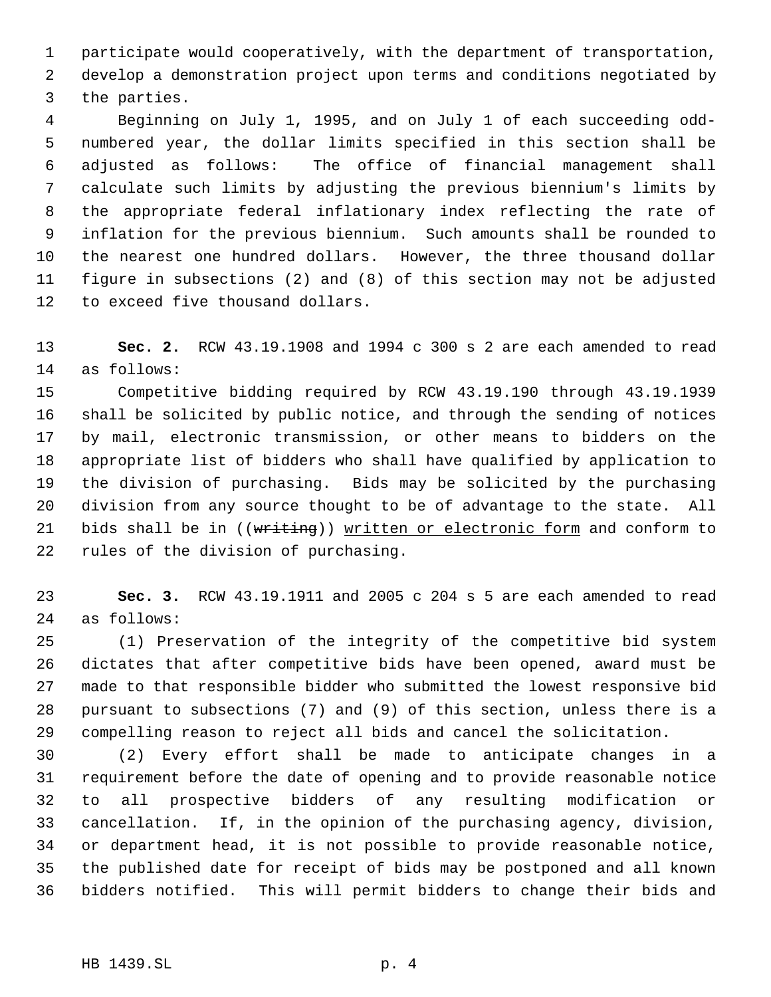participate would cooperatively, with the department of transportation, develop a demonstration project upon terms and conditions negotiated by the parties.

 Beginning on July 1, 1995, and on July 1 of each succeeding odd- numbered year, the dollar limits specified in this section shall be adjusted as follows: The office of financial management shall calculate such limits by adjusting the previous biennium's limits by the appropriate federal inflationary index reflecting the rate of inflation for the previous biennium. Such amounts shall be rounded to the nearest one hundred dollars. However, the three thousand dollar figure in subsections (2) and (8) of this section may not be adjusted to exceed five thousand dollars.

 **Sec. 2.** RCW 43.19.1908 and 1994 c 300 s 2 are each amended to read as follows:

 Competitive bidding required by RCW 43.19.190 through 43.19.1939 shall be solicited by public notice, and through the sending of notices by mail, electronic transmission, or other means to bidders on the appropriate list of bidders who shall have qualified by application to the division of purchasing. Bids may be solicited by the purchasing division from any source thought to be of advantage to the state. All 21 bids shall be in ((writing)) written or electronic form and conform to rules of the division of purchasing.

 **Sec. 3.** RCW 43.19.1911 and 2005 c 204 s 5 are each amended to read as follows:

 (1) Preservation of the integrity of the competitive bid system dictates that after competitive bids have been opened, award must be made to that responsible bidder who submitted the lowest responsive bid pursuant to subsections (7) and (9) of this section, unless there is a compelling reason to reject all bids and cancel the solicitation.

 (2) Every effort shall be made to anticipate changes in a requirement before the date of opening and to provide reasonable notice to all prospective bidders of any resulting modification or cancellation. If, in the opinion of the purchasing agency, division, or department head, it is not possible to provide reasonable notice, the published date for receipt of bids may be postponed and all known bidders notified. This will permit bidders to change their bids and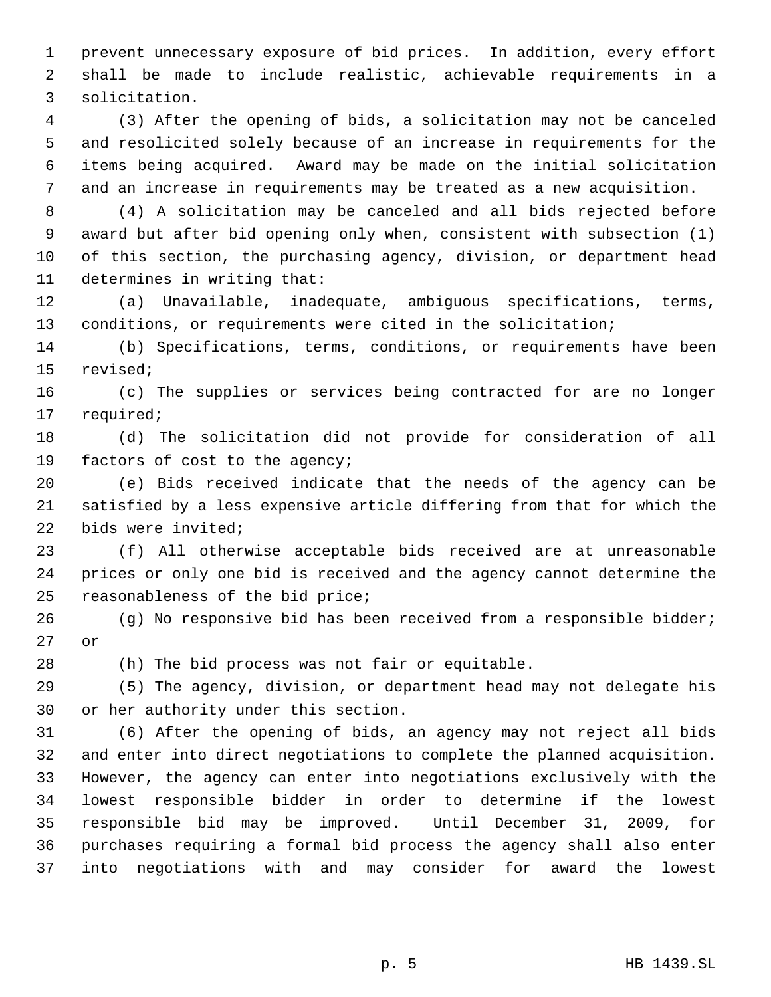prevent unnecessary exposure of bid prices. In addition, every effort shall be made to include realistic, achievable requirements in a solicitation.

 (3) After the opening of bids, a solicitation may not be canceled and resolicited solely because of an increase in requirements for the items being acquired. Award may be made on the initial solicitation and an increase in requirements may be treated as a new acquisition.

 (4) A solicitation may be canceled and all bids rejected before award but after bid opening only when, consistent with subsection (1) of this section, the purchasing agency, division, or department head determines in writing that:

 (a) Unavailable, inadequate, ambiguous specifications, terms, conditions, or requirements were cited in the solicitation;

 (b) Specifications, terms, conditions, or requirements have been revised;

 (c) The supplies or services being contracted for are no longer required;

 (d) The solicitation did not provide for consideration of all factors of cost to the agency;

 (e) Bids received indicate that the needs of the agency can be satisfied by a less expensive article differing from that for which the bids were invited;

 (f) All otherwise acceptable bids received are at unreasonable prices or only one bid is received and the agency cannot determine the reasonableness of the bid price;

 (g) No responsive bid has been received from a responsible bidder; or

(h) The bid process was not fair or equitable.

 (5) The agency, division, or department head may not delegate his or her authority under this section.

 (6) After the opening of bids, an agency may not reject all bids and enter into direct negotiations to complete the planned acquisition. However, the agency can enter into negotiations exclusively with the lowest responsible bidder in order to determine if the lowest responsible bid may be improved. Until December 31, 2009, for purchases requiring a formal bid process the agency shall also enter into negotiations with and may consider for award the lowest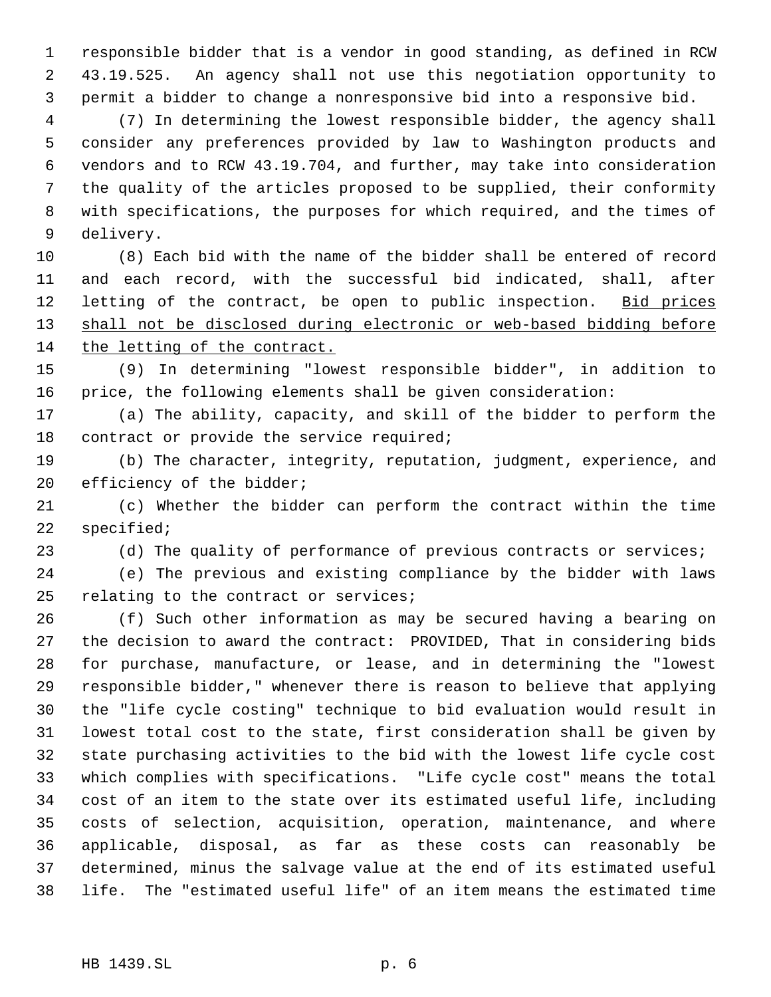responsible bidder that is a vendor in good standing, as defined in RCW 43.19.525. An agency shall not use this negotiation opportunity to permit a bidder to change a nonresponsive bid into a responsive bid.

 (7) In determining the lowest responsible bidder, the agency shall consider any preferences provided by law to Washington products and vendors and to RCW 43.19.704, and further, may take into consideration the quality of the articles proposed to be supplied, their conformity with specifications, the purposes for which required, and the times of delivery.

 (8) Each bid with the name of the bidder shall be entered of record and each record, with the successful bid indicated, shall, after 12 letting of the contract, be open to public inspection. Bid prices 13 shall not be disclosed during electronic or web-based bidding before the letting of the contract.

 (9) In determining "lowest responsible bidder", in addition to price, the following elements shall be given consideration:

 (a) The ability, capacity, and skill of the bidder to perform the 18 contract or provide the service required;

 (b) The character, integrity, reputation, judgment, experience, and 20 efficiency of the bidder;

 (c) Whether the bidder can perform the contract within the time specified;

23 (d) The quality of performance of previous contracts or services;

 (e) The previous and existing compliance by the bidder with laws relating to the contract or services;

 (f) Such other information as may be secured having a bearing on the decision to award the contract: PROVIDED, That in considering bids for purchase, manufacture, or lease, and in determining the "lowest responsible bidder," whenever there is reason to believe that applying the "life cycle costing" technique to bid evaluation would result in lowest total cost to the state, first consideration shall be given by state purchasing activities to the bid with the lowest life cycle cost which complies with specifications. "Life cycle cost" means the total cost of an item to the state over its estimated useful life, including costs of selection, acquisition, operation, maintenance, and where applicable, disposal, as far as these costs can reasonably be determined, minus the salvage value at the end of its estimated useful life. The "estimated useful life" of an item means the estimated time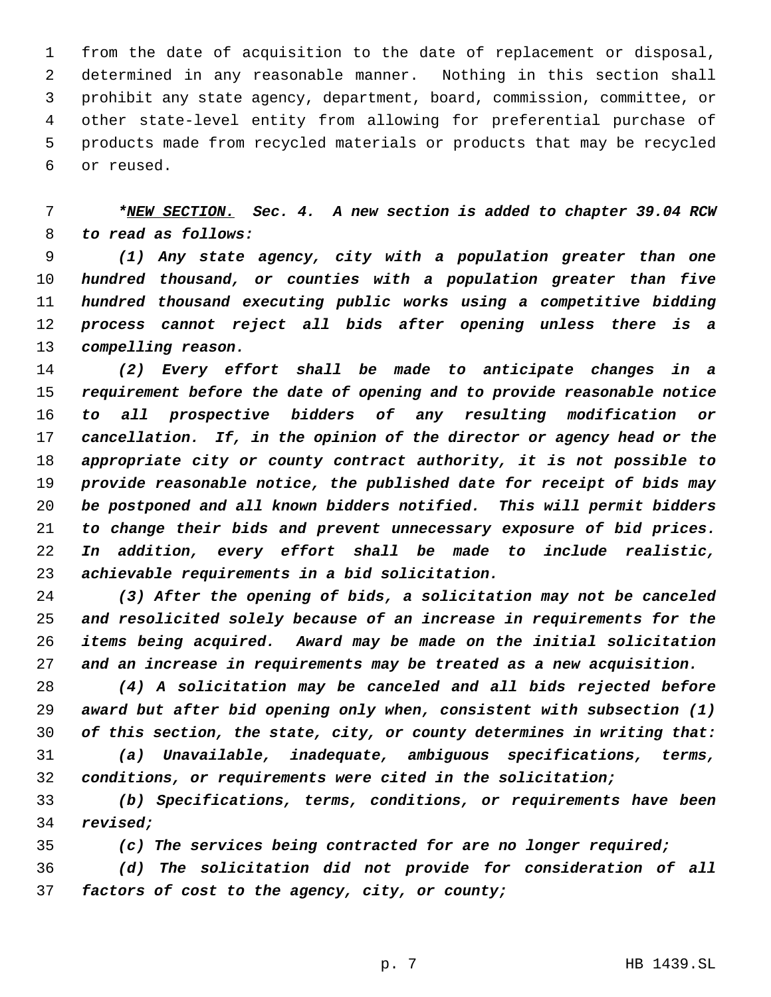from the date of acquisition to the date of replacement or disposal, determined in any reasonable manner. Nothing in this section shall prohibit any state agency, department, board, commission, committee, or other state-level entity from allowing for preferential purchase of products made from recycled materials or products that may be recycled or reused.

# *\*NEW SECTION. Sec. 4. A new section is added to chapter 39.04 RCW to read as follows:*

 *(1) Any state agency, city with a population greater than one hundred thousand, or counties with a population greater than five hundred thousand executing public works using a competitive bidding process cannot reject all bids after opening unless there is a compelling reason.*

 *(2) Every effort shall be made to anticipate changes in a requirement before the date of opening and to provide reasonable notice to all prospective bidders of any resulting modification or cancellation. If, in the opinion of the director or agency head or the appropriate city or county contract authority, it is not possible to provide reasonable notice, the published date for receipt of bids may be postponed and all known bidders notified. This will permit bidders to change their bids and prevent unnecessary exposure of bid prices. In addition, every effort shall be made to include realistic, achievable requirements in a bid solicitation.*

 *(3) After the opening of bids, a solicitation may not be canceled and resolicited solely because of an increase in requirements for the items being acquired. Award may be made on the initial solicitation and an increase in requirements may be treated as a new acquisition.*

 *(4) A solicitation may be canceled and all bids rejected before award but after bid opening only when, consistent with subsection (1) of this section, the state, city, or county determines in writing that:*

 *(a) Unavailable, inadequate, ambiguous specifications, terms, conditions, or requirements were cited in the solicitation;*

 *(b) Specifications, terms, conditions, or requirements have been revised;*

*(c) The services being contracted for are no longer required;*

 *(d) The solicitation did not provide for consideration of all factors of cost to the agency, city, or county;*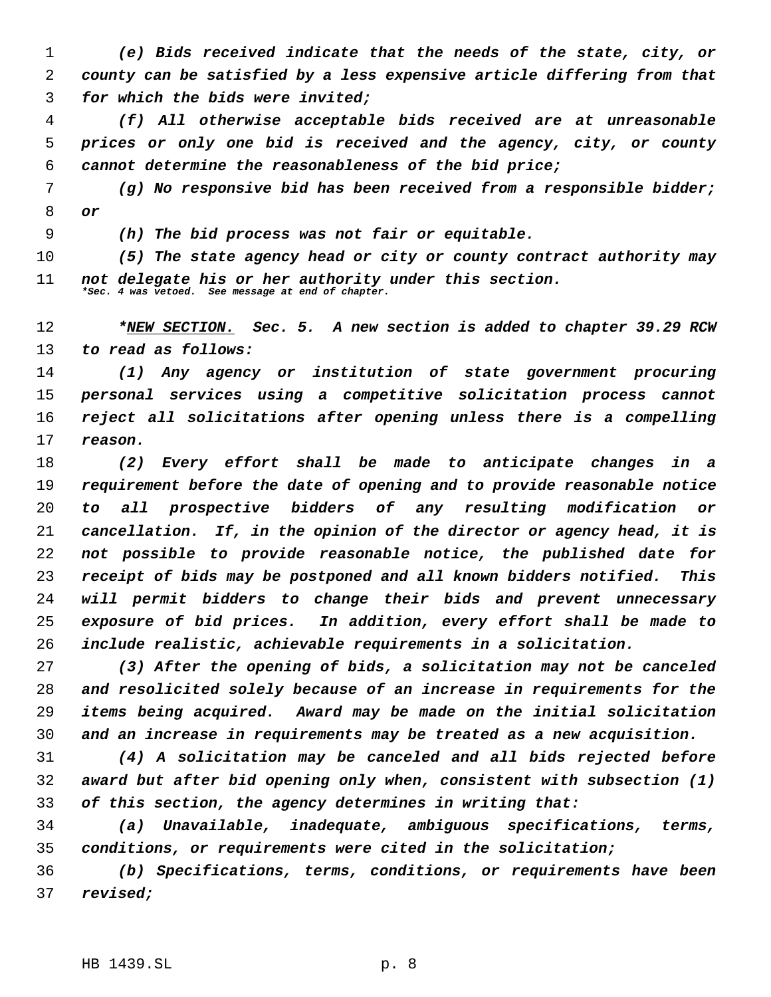*(e) Bids received indicate that the needs of the state, city, or county can be satisfied by a less expensive article differing from that for which the bids were invited;*

 *(f) All otherwise acceptable bids received are at unreasonable prices or only one bid is received and the agency, city, or county cannot determine the reasonableness of the bid price;*

 *(g) No responsive bid has been received from a responsible bidder; or*

*(h) The bid process was not fair or equitable.*

 *(5) The state agency head or city or county contract authority may not delegate his or her authority under this section. \*Sec. 4 was vetoed. See message at end of chapter.*

 *\*NEW SECTION. Sec. 5. A new section is added to chapter 39.29 RCW to read as follows:*

 *(1) Any agency or institution of state government procuring personal services using a competitive solicitation process cannot reject all solicitations after opening unless there is a compelling reason.*

 *(2) Every effort shall be made to anticipate changes in a requirement before the date of opening and to provide reasonable notice to all prospective bidders of any resulting modification or cancellation. If, in the opinion of the director or agency head, it is not possible to provide reasonable notice, the published date for receipt of bids may be postponed and all known bidders notified. This will permit bidders to change their bids and prevent unnecessary exposure of bid prices. In addition, every effort shall be made to include realistic, achievable requirements in a solicitation.*

 *(3) After the opening of bids, a solicitation may not be canceled and resolicited solely because of an increase in requirements for the items being acquired. Award may be made on the initial solicitation and an increase in requirements may be treated as a new acquisition.*

 *(4) A solicitation may be canceled and all bids rejected before award but after bid opening only when, consistent with subsection (1) of this section, the agency determines in writing that:*

 *(a) Unavailable, inadequate, ambiguous specifications, terms, conditions, or requirements were cited in the solicitation;*

 *(b) Specifications, terms, conditions, or requirements have been revised;*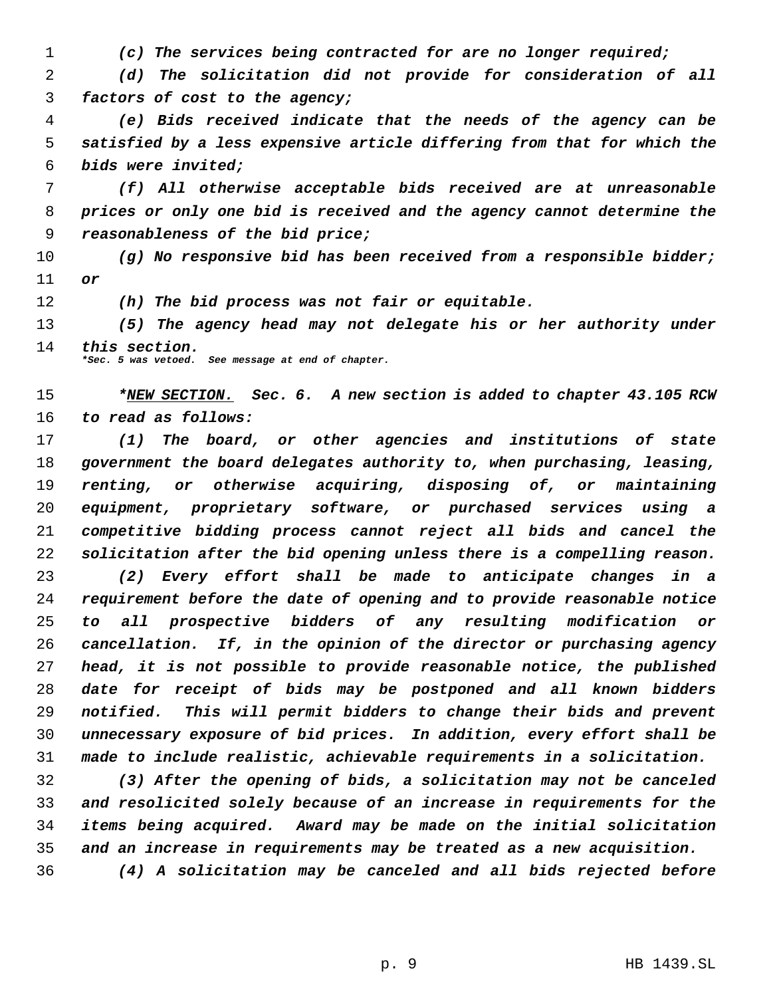*(c) The services being contracted for are no longer required;*

 *(d) The solicitation did not provide for consideration of all factors of cost to the agency;*

 *(e) Bids received indicate that the needs of the agency can be satisfied by a less expensive article differing from that for which the bids were invited;*

 *(f) All otherwise acceptable bids received are at unreasonable prices or only one bid is received and the agency cannot determine the reasonableness of the bid price;*

 *(g) No responsive bid has been received from a responsible bidder; or*

*(h) The bid process was not fair or equitable.*

 *(5) The agency head may not delegate his or her authority under this section.*

*\*Sec. 5 was vetoed. See message at end of chapter.*

 *\*NEW SECTION. Sec. 6. A new section is added to chapter 43.105 RCW to read as follows:*

 *(1) The board, or other agencies and institutions of state government the board delegates authority to, when purchasing, leasing, renting, or otherwise acquiring, disposing of, or maintaining equipment, proprietary software, or purchased services using a competitive bidding process cannot reject all bids and cancel the solicitation after the bid opening unless there is a compelling reason.*

 *(2) Every effort shall be made to anticipate changes in a requirement before the date of opening and to provide reasonable notice to all prospective bidders of any resulting modification or cancellation. If, in the opinion of the director or purchasing agency head, it is not possible to provide reasonable notice, the published date for receipt of bids may be postponed and all known bidders notified. This will permit bidders to change their bids and prevent unnecessary exposure of bid prices. In addition, every effort shall be made to include realistic, achievable requirements in a solicitation.*

 *(3) After the opening of bids, a solicitation may not be canceled and resolicited solely because of an increase in requirements for the items being acquired. Award may be made on the initial solicitation and an increase in requirements may be treated as a new acquisition. (4) A solicitation may be canceled and all bids rejected before*

p. 9 HB 1439.SL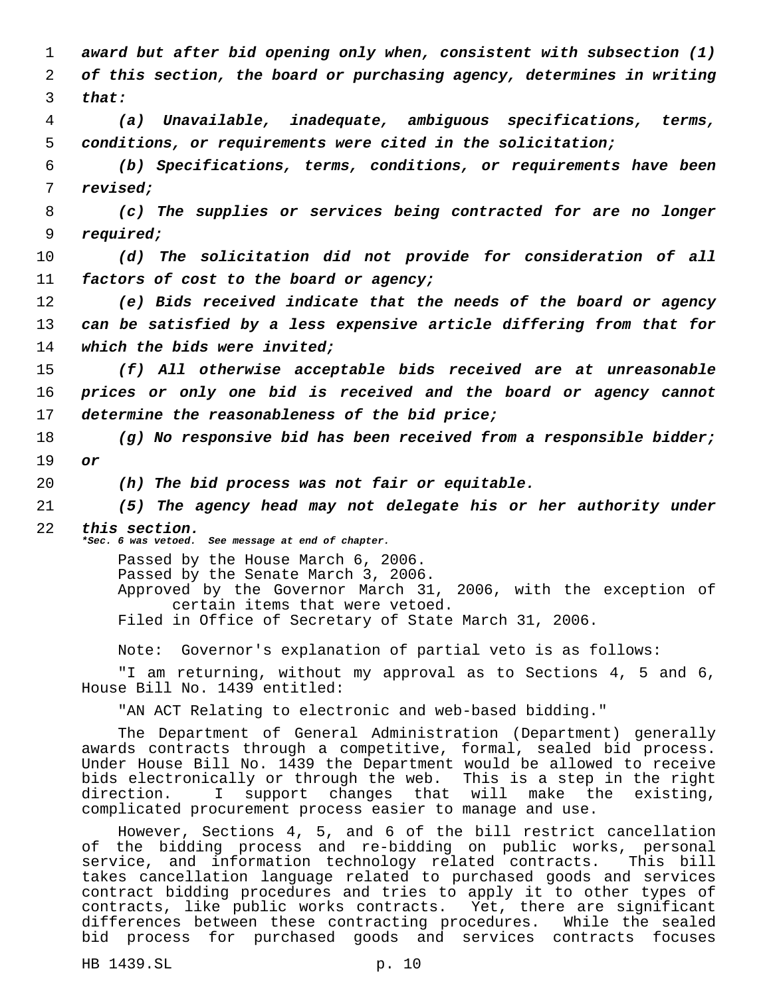*award but after bid opening only when, consistent with subsection (1) of this section, the board or purchasing agency, determines in writing* 3 *that: (a) Unavailable, inadequate, ambiguous specifications, terms, conditions, or requirements were cited in the solicitation; (b) Specifications, terms, conditions, or requirements have been revised; (c) The supplies or services being contracted for are no longer required; (d) The solicitation did not provide for consideration of all factors of cost to the board or agency; (e) Bids received indicate that the needs of the board or agency can be satisfied by a less expensive article differing from that for*

14 *which the bids were invited;*

15 *(f) All otherwise acceptable bids received are at unreasonable* 16 *prices or only one bid is received and the board or agency cannot* 17 *determine the reasonableness of the bid price;*

18 *(g) No responsive bid has been received from a responsible bidder;* 19 *or*

20 *(h) The bid process was not fair or equitable.*

21 *(5) The agency head may not delegate his or her authority under* 22 *this section.*

*\*Sec. 6 was vetoed. See message at end of chapter.*

Passed by the House March 6, 2006.

Passed by the Senate March 3, 2006.

Approved by the Governor March 31, 2006, with the exception of certain items that were vetoed.

Filed in Office of Secretary of State March 31, 2006.

Note: Governor's explanation of partial veto is as follows:

"I am returning, without my approval as to Sections 4, 5 and 6, House Bill No. 1439 entitled:

"AN ACT Relating to electronic and web-based bidding."

The Department of General Administration (Department) generally awards contracts through a competitive, formal, sealed bid process. Under House Bill No. 1439 the Department would be allowed to receive bids electronically or through the web. This is a step in the right direction. I support changes that will make the existing, complicated procurement process easier to manage and use.

However, Sections 4, 5, and 6 of the bill restrict cancellation of the bidding process and re-bidding on public works, personal service, and information technology related contracts. This bill takes cancellation language related to purchased goods and services contract bidding procedures and tries to apply it to other types of contracts, like public works contracts. Yet, there are significant differences between these contracting procedures. While the sealed bid process for purchased goods and services contracts focuses